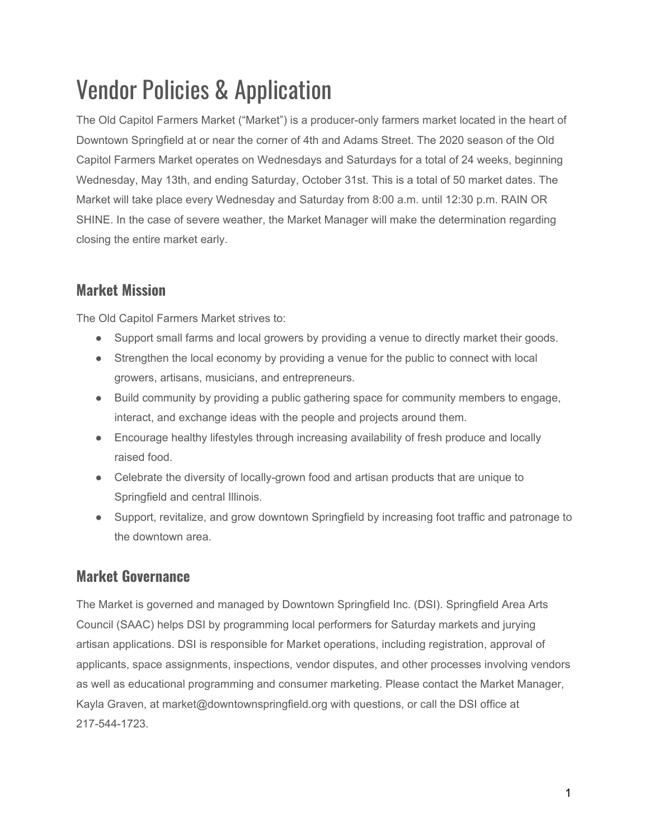# Vendor Policies & Application

The Old Capitol Farmers Market ("Market") is a producer-only farmers market located in the heart of Downtown Springfield at or near the corner of 4th and Adams Street. The 2020 season of the Old Capitol Farmers Market operates on Wednesdays and Saturdays for a total of 24 weeks, beginning Wednesday, May 13th, and ending Saturday, October 31st. This is a total of 50 market dates. The Market will take place every Wednesday and Saturday from 8:00 a.m. until 12:30 p.m. RAIN OR SHINE. In the case of severe weather, the Market Manager will make the determination regarding closing the entire market early.

# **Market Mission**

The Old Capitol Farmers Market strives to:

- Support small farms and local growers by providing a venue to directly market their goods.
- Strengthen the local economy by providing a venue for the public to connect with local growers, artisans, musicians, and entrepreneurs.
- Build community by providing a public gathering space for community members to engage, interact, and exchange ideas with the people and projects around them.
- Encourage healthy lifestyles through increasing availability of fresh produce and locally raised food.
- Celebrate the diversity of locally-grown food and artisan products that are unique to Springfield and central Illinois.
- Support, revitalize, and grow downtown Springfield by increasing foot traffic and patronage to the downtown area.

# **Market Governance**

The Market is governed and managed by Downtown Springfield Inc. (DSI). Springfield Area Arts Council (SAAC) helps DSI by programming local performers for Saturday markets and jurying artisan applications. DSI is responsible for Market operations, including registration, approval of applicants, space assignments, inspections, vendor disputes, and other processes involving vendors as well as educational programming and consumer marketing. Please contact the Market Manager, Kayla Graven, at market@downtownspringfield.org with questions, or call the DSI office at 217-544-1723.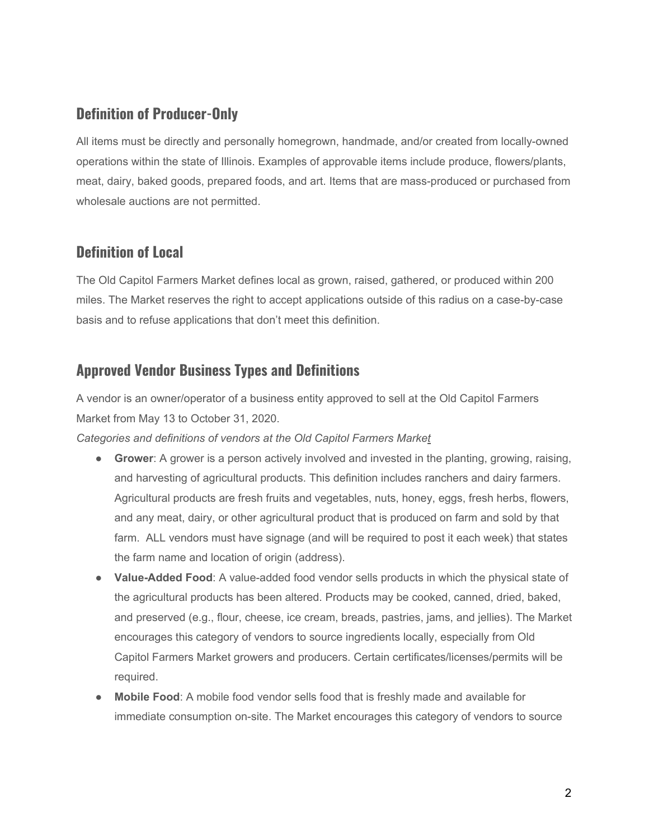#### **Definition of Producer-Only**

All items must be directly and personally homegrown, handmade, and/or created from locally-owned operations within the state of Illinois. Examples of approvable items include produce, flowers/plants, meat, dairy, baked goods, prepared foods, and art. Items that are mass-produced or purchased from wholesale auctions are not permitted.

#### **Definition of Local**

The Old Capitol Farmers Market defines local as grown, raised, gathered, or produced within 200 miles. The Market reserves the right to accept applications outside of this radius on a case-by-case basis and to refuse applications that don't meet this definition.

# **Approved Vendor Business Types and Definitions**

A vendor is an owner/operator of a business entity approved to sell at the Old Capitol Farmers Market from May 13 to October 31, 2020.

*Categories and definitions of vendors at the Old Capitol Farmers Market*

- **Grower**: A grower is a person actively involved and invested in the planting, growing, raising, and harvesting of agricultural products. This definition includes ranchers and dairy farmers. Agricultural products are fresh fruits and vegetables, nuts, honey, eggs, fresh herbs, flowers, and any meat, dairy, or other agricultural product that is produced on farm and sold by that farm. ALL vendors must have signage (and will be required to post it each week) that states the farm name and location of origin (address).
- **Value-Added Food**: A value-added food vendor sells products in which the physical state of the agricultural products has been altered. Products may be cooked, canned, dried, baked, and preserved (e.g., flour, cheese, ice cream, breads, pastries, jams, and jellies). The Market encourages this category of vendors to source ingredients locally, especially from Old Capitol Farmers Market growers and producers. Certain certificates/licenses/permits will be required.
- **Mobile Food:** A mobile food vendor sells food that is freshly made and available for immediate consumption on-site. The Market encourages this category of vendors to source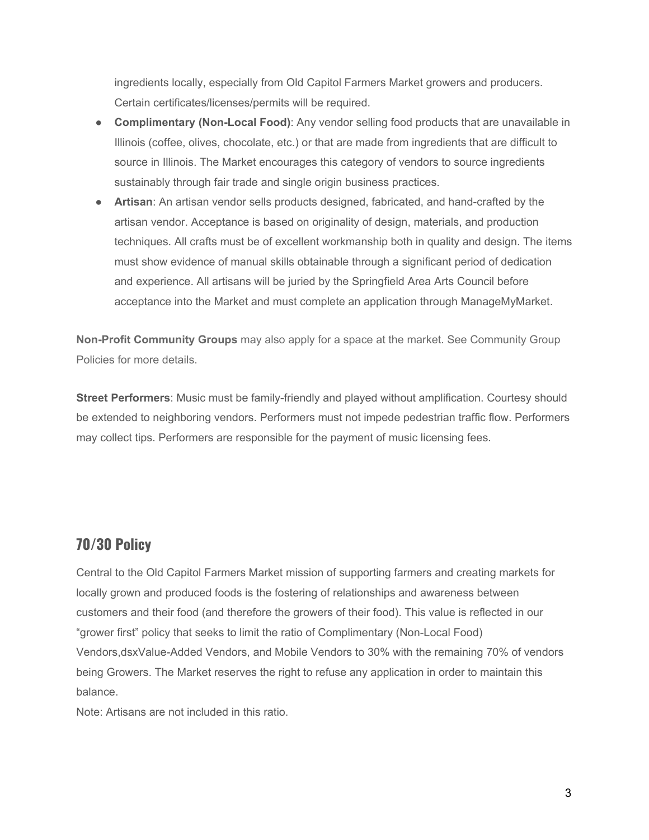ingredients locally, especially from Old Capitol Farmers Market growers and producers. Certain certificates/licenses/permits will be required.

- **Complimentary (Non-Local Food)**: Any vendor selling food products that are unavailable in Illinois (coffee, olives, chocolate, etc.) or that are made from ingredients that are difficult to source in Illinois. The Market encourages this category of vendors to source ingredients sustainably through fair trade and single origin business practices.
- **Artisan**: An artisan vendor sells products designed, fabricated, and hand-crafted by the artisan vendor. Acceptance is based on originality of design, materials, and production techniques. All crafts must be of excellent workmanship both in quality and design. The items must show evidence of manual skills obtainable through a significant period of dedication and experience. All artisans will be juried by the Springfield Area Arts Council before acceptance into the Market and must complete an application through ManageMyMarket.

**Non-Profit Community Groups** may also apply for a space at the market. See Community Group Policies for more details.

**Street Performers**: Music must be family-friendly and played without amplification. Courtesy should be extended to neighboring vendors. Performers must not impede pedestrian traffic flow. Performers may collect tips. Performers are responsible for the payment of music licensing fees.

# **70/30 Policy**

Central to the Old Capitol Farmers Market mission of supporting farmers and creating markets for locally grown and produced foods is the fostering of relationships and awareness between customers and their food (and therefore the growers of their food). This value is reflected in our "grower first" policy that seeks to limit the ratio of Complimentary (Non-Local Food) Vendors,dsxValue-Added Vendors, and Mobile Vendors to 30% with the remaining 70% of vendors being Growers. The Market reserves the right to refuse any application in order to maintain this balance.

Note: Artisans are not included in this ratio.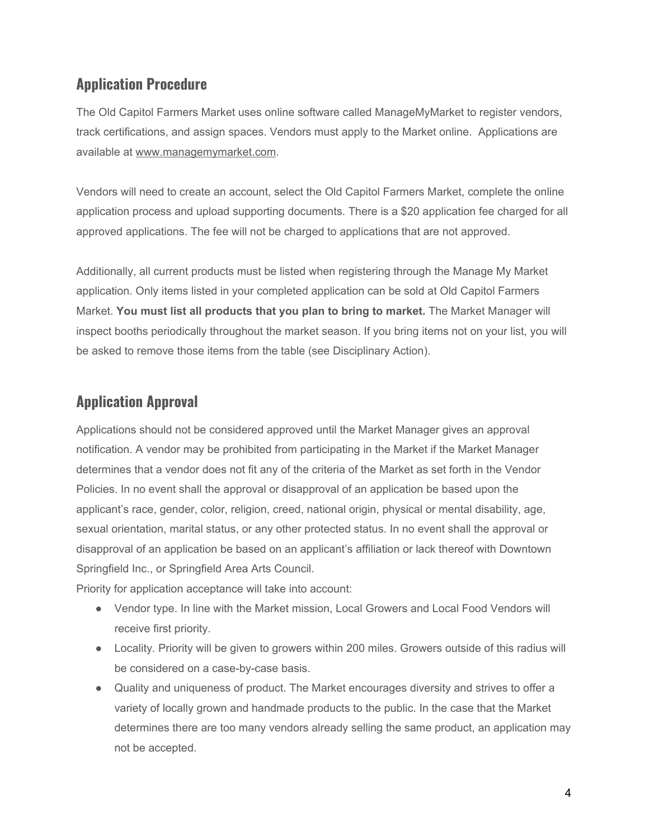#### **Application Procedure**

The Old Capitol Farmers Market uses online software called ManageMyMarket to register vendors, track certifications, and assign spaces. Vendors must apply to the Market online. Applications are available at [www.managemymarket.com](http://www.managemymarket.com/).

Vendors will need to create an account, select the Old Capitol Farmers Market, complete the online application process and upload supporting documents. There is a \$20 application fee charged for all approved applications. The fee will not be charged to applications that are not approved.

Additionally, all current products must be listed when registering through the Manage My Market application. Only items listed in your completed application can be sold at Old Capitol Farmers Market. **You must list all products that you plan to bring to market.** The Market Manager will inspect booths periodically throughout the market season. If you bring items not on your list, you will be asked to remove those items from the table (see Disciplinary Action).

# **Application Approval**

Applications should not be considered approved until the Market Manager gives an approval notification. A vendor may be prohibited from participating in the Market if the Market Manager determines that a vendor does not fit any of the criteria of the Market as set forth in the Vendor Policies. In no event shall the approval or disapproval of an application be based upon the applicant's race, gender, color, religion, creed, national origin, physical or mental disability, age, sexual orientation, marital status, or any other protected status. In no event shall the approval or disapproval of an application be based on an applicant's affiliation or lack thereof with Downtown Springfield Inc., or Springfield Area Arts Council.

Priority for application acceptance will take into account:

- Vendor type. In line with the Market mission, Local Growers and Local Food Vendors will receive first priority.
- Locality. Priority will be given to growers within 200 miles. Growers outside of this radius will be considered on a case-by-case basis.
- Quality and uniqueness of product. The Market encourages diversity and strives to offer a variety of locally grown and handmade products to the public. In the case that the Market determines there are too many vendors already selling the same product, an application may not be accepted.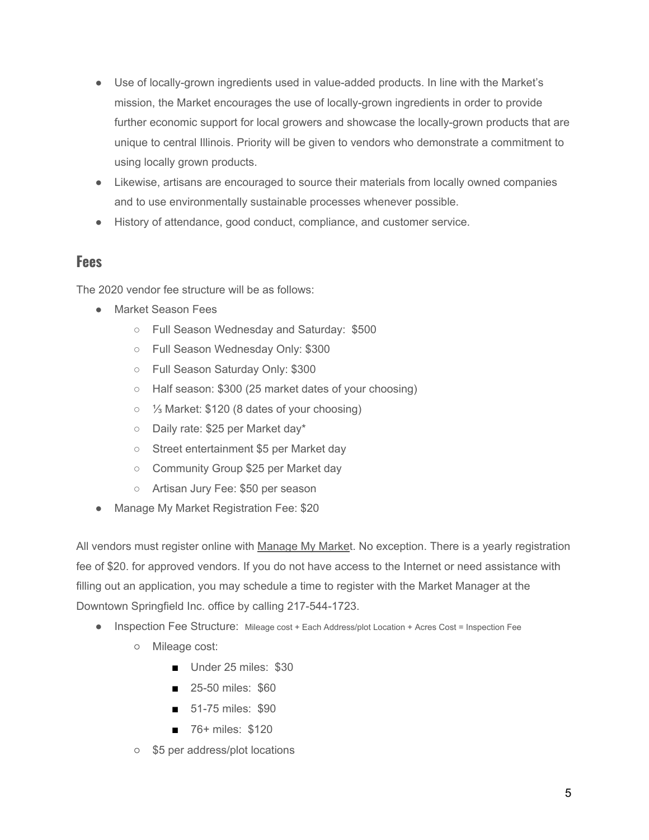- Use of locally-grown ingredients used in value-added products. In line with the Market's mission, the Market encourages the use of locally-grown ingredients in order to provide further economic support for local growers and showcase the locally-grown products that are unique to central Illinois. Priority will be given to vendors who demonstrate a commitment to using locally grown products.
- Likewise, artisans are encouraged to source their materials from locally owned companies and to use environmentally sustainable processes whenever possible.
- History of attendance, good conduct, compliance, and customer service.

#### **Fees**

The 2020 vendor fee structure will be as follows:

- Market Season Fees
	- Full Season Wednesday and Saturday: \$500
	- Full Season Wednesday Only: \$300
	- Full Season Saturday Only: \$300
	- Half season: \$300 (25 market dates of your choosing)
	- ⅓ Market: \$120 (8 dates of your choosing)
	- Daily rate: \$25 per Market day\*
	- Street entertainment \$5 per Market day
	- Community Group \$25 per Market day
	- Artisan Jury Fee: \$50 per season
- Manage My Market Registration Fee: \$20

All vendors must register online with [Manage My Market](https://managemymarket.com/). No exception. There is a yearly registration fee of \$20. for approved vendors. If you do not have access to the Internet or need assistance with filling out an application, you may schedule a time to register with the Market Manager at the Downtown Springfield Inc. office by calling 217-544-1723.

- Inspection Fee Structure: Mileage cost + Each Address/plot Location + Acres Cost = Inspection Fee
	- Mileage cost:
		- Under 25 miles: \$30
		- 25-50 miles: \$60
		- 51-75 miles: \$90
		- 76+ miles: \$120
	- \$5 per address/plot locations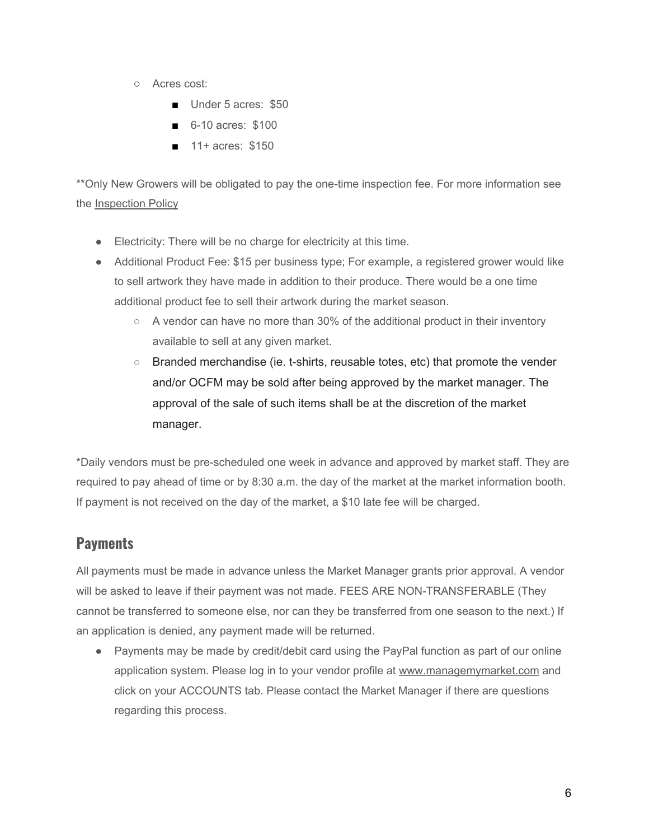- Acres cost:
	- Under 5 acres: \$50
	- 6-10 acres: \$100
	- 11+ acres: \$150

\*\*Only New Growers will be obligated to pay the one-time inspection fee. For more information see the [Inspection Policy](https://www.ilstewards.org/old-capitol-farmers-market/inspection-policy/)

- Electricity: There will be no charge for electricity at this time.
- Additional Product Fee: \$15 per business type; For example, a registered grower would like to sell artwork they have made in addition to their produce. There would be a one time additional product fee to sell their artwork during the market season.
	- $\circ$  A vendor can have no more than 30% of the additional product in their inventory available to sell at any given market.
	- Branded merchandise (ie. t-shirts, reusable totes, etc) that promote the vender and/or OCFM may be sold after being approved by the market manager. The approval of the sale of such items shall be at the discretion of the market manager.

\*Daily vendors must be pre-scheduled one week in advance and approved by market staff. They are required to pay ahead of time or by 8:30 a.m. the day of the market at the market information booth. If payment is not received on the day of the market, a \$10 late fee will be charged.

# **Payments**

All payments must be made in advance unless the Market Manager grants prior approval. A vendor will be asked to leave if their payment was not made. FEES ARE NON-TRANSFERABLE (They cannot be transferred to someone else, nor can they be transferred from one season to the next.) If an application is denied, any payment made will be returned.

● Payments may be made by credit/debit card using the PayPal function as part of our online application system. Please log in to your vendor profile at [www.managemymarket.com](http://www.managemymarket.com/) and click on your ACCOUNTS tab. Please contact the Market Manager if there are questions regarding this process.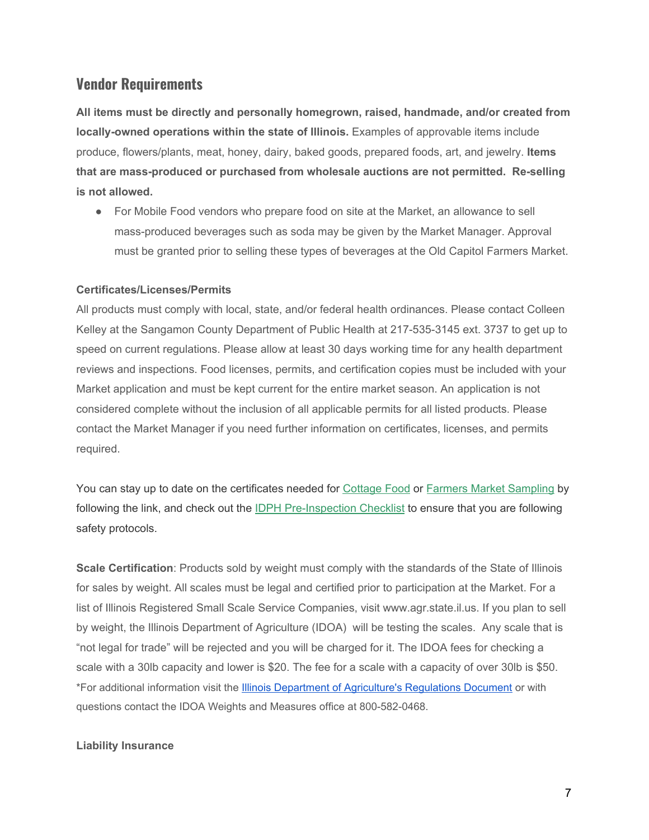#### **Vendor Requirements**

**All items must be directly and personally homegrown, raised, handmade, and/or created from locally-owned operations within the state of Illinois.** Examples of approvable items include produce, flowers/plants, meat, honey, dairy, baked goods, prepared foods, art, and jewelry. **Items that are mass-produced or purchased from wholesale auctions are not permitted. Re-selling is not allowed.**

● For Mobile Food vendors who prepare food on site at the Market, an allowance to sell mass-produced beverages such as soda may be given by the Market Manager. Approval must be granted prior to selling these types of beverages at the Old Capitol Farmers Market.

#### **Certificates/Licenses/Permits**

All products must comply with local, state, and/or federal health ordinances. Please contact Colleen Kelley at the Sangamon County Department of Public Health at 217-535-3145 ext. 3737 to get up to speed on current regulations. Please allow at least 30 days working time for any health department reviews and inspections. Food licenses, permits, and certification copies must be included with your Market application and must be kept current for the entire market season. An application is not considered complete without the inclusion of all applicable permits for all listed products. Please contact the Market Manager if you need further information on certificates, licenses, and permits required.

You can stay up to date on the certificates needed for [Cottage Food](https://www.ilstewards.org/policy-work/illinois-cottage-food-law/) or [Farmers Market Sampling](https://www.ilstewards.org/wp-content/uploads/2016/02/Farmers-Market-Food-Product-Sampling-Handout-1.pdf) by following the link, and check out the [IDPH Pre-Inspection Checklist](https://www.ilstewards.org/wp-content/uploads/2016/02/Farmers-Market-Pre-Inspection-Checklist-1.pdf) to ensure that you are following safety protocols.

**Scale Certification**: Products sold by weight must comply with the standards of the State of Illinois for sales by weight. All scales must be legal and certified prior to participation at the Market. For a list of Illinois Registered Small Scale Service Companies, visit www.agr.state.il.us. If you plan to sell by weight, the Illinois Department of Agriculture (IDOA) will be testing the scales. Any scale that is "not legal for trade" will be rejected and you will be charged for it. The IDOA fees for checking a scale with a 30lb capacity and lower is \$20. The fee for a scale with a capacity of over 30lb is \$50. \*For additional information visit th[e](https://www2.illinois.gov/sites/agr/Consumers/FarmersMarkets/Documents/regulations.pdf) Illinois Department of [Agriculture's](https://www2.illinois.gov/sites/agr/Consumers/FarmersMarkets/Documents/regulations.pdf) Regulations Document or with questions contact the IDOA Weights and Measures office at 800-582-0468.

#### **Liability Insurance**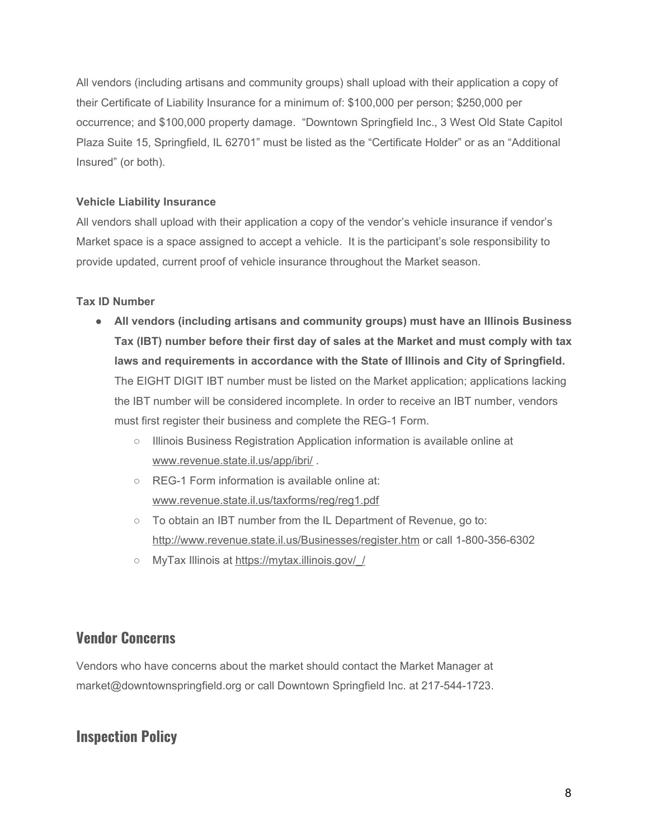All vendors (including artisans and community groups) shall upload with their application a copy of their Certificate of Liability Insurance for a minimum of: \$100,000 per person; \$250,000 per occurrence; and \$100,000 property damage. "Downtown Springfield Inc., 3 West Old State Capitol Plaza Suite 15, Springfield, IL 62701" must be listed as the "Certificate Holder" or as an "Additional Insured" (or both).

#### **Vehicle Liability Insurance**

All vendors shall upload with their application a copy of the vendor's vehicle insurance if vendor's Market space is a space assigned to accept a vehicle. It is the participant's sole responsibility to provide updated, current proof of vehicle insurance throughout the Market season.

#### **Tax ID Number**

- **All vendors (including artisans and community groups) must have an Illinois Business Tax (IBT) number before their first day of sales at the Market and must comply with tax laws and requirements in accordance with the State of Illinois and City of Springfield.** The EIGHT DIGIT IBT number must be listed on the Market application; applications lacking the IBT number will be considered incomplete. In order to receive an IBT number, vendors must first register their business and complete the REG-1 Form.
	- Illinois Business Registration Application information is available online at [www.revenue.state.il.us/app/ibri/](http://www.revenue.state.il.us/app/ibri/) .
	- REG-1 Form information is available online at: [www.revenue.state.il.us/taxforms/reg/reg1.pdf](http://www.revenue.state.il.us/taxforms/reg/reg1.pdf)
	- To obtain an IBT number from the IL Department of Revenue, go to: <http://www.revenue.state.il.us/Businesses/register.htm> or call 1-800-356-6302
	- MyTax Illinois at [https://mytax.illinois.gov/\\_/](https://mytax.illinois.gov/_/)

#### **Vendor Concerns**

Vendors who have concerns about the market should contact the Market Manager at market@downtownspringfield.org or call Downtown Springfield Inc. at 217-544-1723.

#### **Inspection Policy**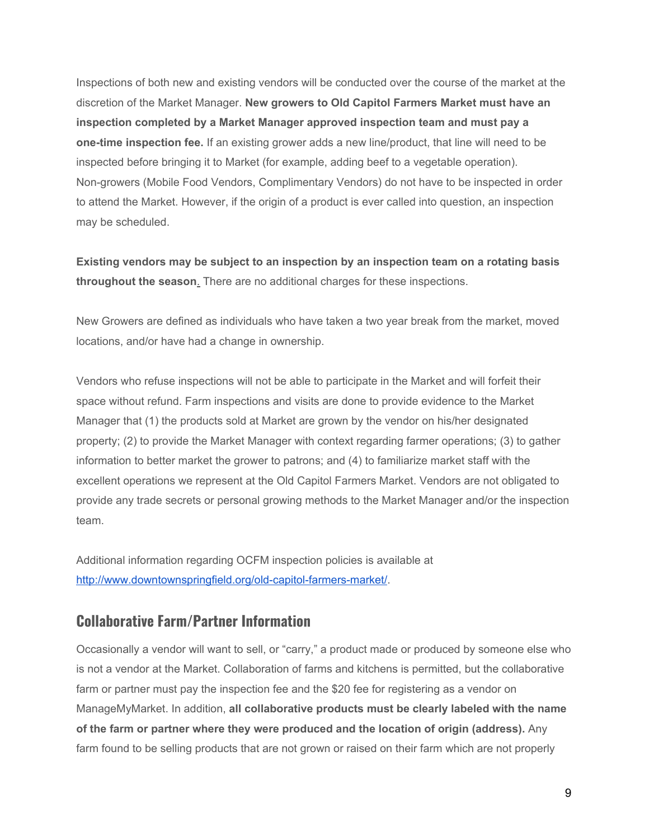Inspections of both new and existing vendors will be conducted over the course of the market at the discretion of the Market Manager. **New growers to Old Capitol Farmers Market must have an inspection completed by a Market Manager approved inspection team and must pay a one-time inspection fee.** If an existing grower adds a new line/product, that line will need to be inspected before bringing it to Market (for example, adding beef to a vegetable operation). Non-growers (Mobile Food Vendors, Complimentary Vendors) do not have to be inspected in order to attend the Market. However, if the origin of a product is ever called into question, an inspection may be scheduled.

**Existing vendors may be subject to an inspection by an inspection team on a rotating basis throughout the season**. There are no additional charges for these inspections.

New Growers are defined as individuals who have taken a two year break from the market, moved locations, and/or have had a change in ownership.

Vendors who refuse inspections will not be able to participate in the Market and will forfeit their space without refund. Farm inspections and visits are done to provide evidence to the Market Manager that (1) the products sold at Market are grown by the vendor on his/her designated property; (2) to provide the Market Manager with context regarding farmer operations; (3) to gather information to better market the grower to patrons; and (4) to familiarize market staff with the excellent operations we represent at the Old Capitol Farmers Market. Vendors are not obligated to provide any trade secrets or personal growing methods to the Market Manager and/or the inspection team.

Additional information regarding OCFM inspection policies is available at <http://www.downtownspringfield.org/old-capitol-farmers-market/>.

#### **Collaborative Farm/Partner Information**

Occasionally a vendor will want to sell, or "carry," a product made or produced by someone else who is not a vendor at the Market. Collaboration of farms and kitchens is permitted, but the collaborative farm or partner must pay the inspection fee and the \$20 fee for registering as a vendor on ManageMyMarket. In addition, **all collaborative products must be clearly labeled with the name of the farm or partner where they were produced and the location of origin (address).** Any farm found to be selling products that are not grown or raised on their farm which are not properly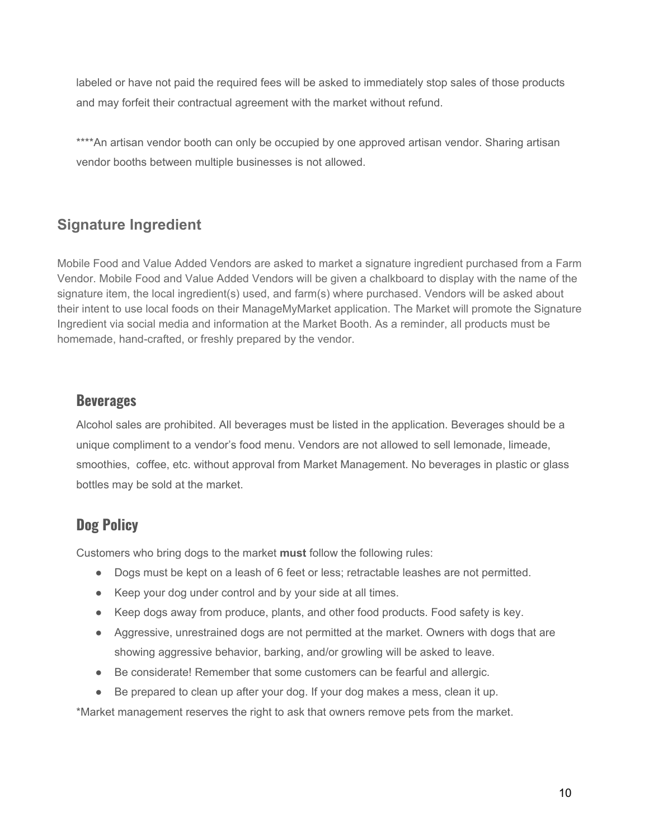labeled or have not paid the required fees will be asked to immediately stop sales of those products and may forfeit their contractual agreement with the market without refund.

\*\*\*\*An artisan vendor booth can only be occupied by one approved artisan vendor. Sharing artisan vendor booths between multiple businesses is not allowed.

# **Signature Ingredient**

Mobile Food and Value Added Vendors are asked to market a signature ingredient purchased from a Farm Vendor. Mobile Food and Value Added Vendors will be given a chalkboard to display with the name of the signature item, the local ingredient(s) used, and farm(s) where purchased. Vendors will be asked about their intent to use local foods on their ManageMyMarket application. The Market will promote the Signature Ingredient via social media and information at the Market Booth. As a reminder, all products must be homemade, hand-crafted, or freshly prepared by the vendor.

#### **Beverages**

Alcohol sales are prohibited. All beverages must be listed in the application. Beverages should be a unique compliment to a vendor's food menu. Vendors are not allowed to sell lemonade, limeade, smoothies, coffee, etc. without approval from Market Management. No beverages in plastic or glass bottles may be sold at the market.

# **Dog Policy**

Customers who bring dogs to the market **must** follow the following rules:

- Dogs must be kept on a leash of 6 feet or less; retractable leashes are not permitted.
- Keep your dog under control and by your side at all times.
- Keep dogs away from produce, plants, and other food products. Food safety is key.
- Aggressive, unrestrained dogs are not permitted at the market. Owners with dogs that are showing aggressive behavior, barking, and/or growling will be asked to leave.
- Be considerate! Remember that some customers can be fearful and allergic.
- Be prepared to clean up after your dog. If your dog makes a mess, clean it up.

\*Market management reserves the right to ask that owners remove pets from the market.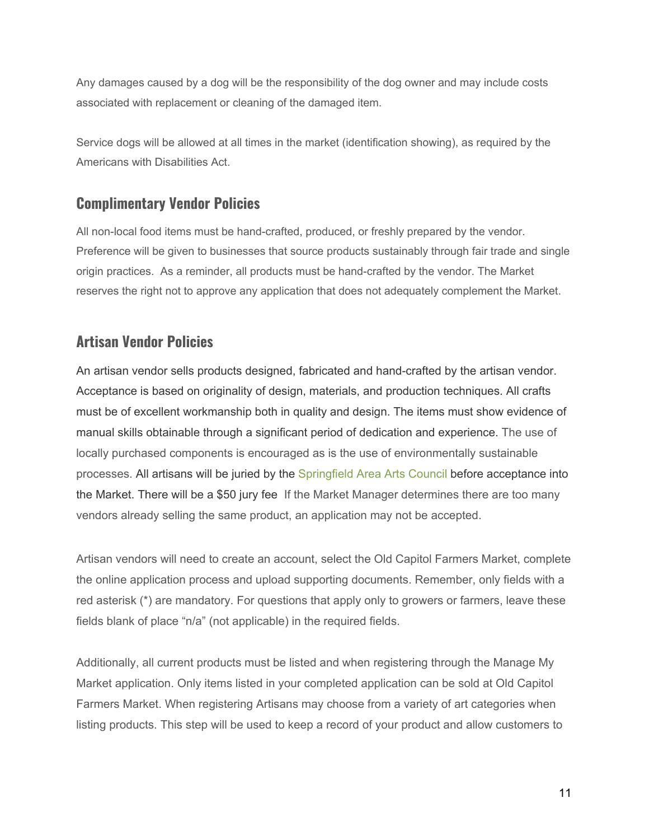Any damages caused by a dog will be the responsibility of the dog owner and may include costs associated with replacement or cleaning of the damaged item.

Service dogs will be allowed at all times in the market (identification showing), as required by the Americans with Disabilities Act.

#### **Complimentary Vendor Policies**

All non-local food items must be hand-crafted, produced, or freshly prepared by the vendor. Preference will be given to businesses that source products sustainably through fair trade and single origin practices. As a reminder, all products must be hand-crafted by the vendor. The Market reserves the right not to approve any application that does not adequately complement the Market.

# **Artisan Vendor Policies**

An artisan vendor sells products designed, fabricated and hand-crafted by the artisan vendor. Acceptance is based on originality of design, materials, and production techniques. All crafts must be of excellent workmanship both in quality and design. The items must show evidence of manual skills obtainable through a significant period of dedication and experience. The use of locally purchased components is encouraged as is the use of environmentally sustainable processes. All artisans will be juried by the [Springfield](http://springfieldartsco.org/) Area Arts Council before acceptance into the Market. There will be a \$50 jury fee If the Market Manager determines there are too many vendors already selling the same product, an application may not be accepted.

Artisan vendors will need to create an account, select the Old Capitol Farmers Market, complete the online application process and upload supporting documents. Remember, only fields with a red asterisk (\*) are mandatory. For questions that apply only to growers or farmers, leave these fields blank of place "n/a" (not applicable) in the required fields.

Additionally, all current products must be listed and when registering through the Manage My Market application. Only items listed in your completed application can be sold at Old Capitol Farmers Market. When registering Artisans may choose from a variety of art categories when listing products. This step will be used to keep a record of your product and allow customers to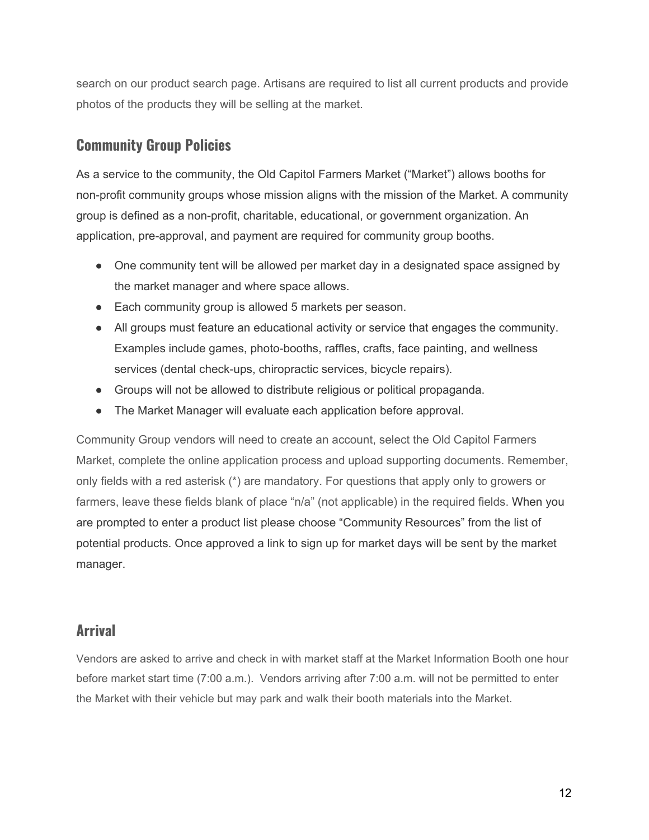search on our product search page. Artisans are required to list all current products and provide photos of the products they will be selling at the market.

#### **Community Group Policies**

As a service to the community, the Old Capitol Farmers Market ("Market") allows booths for non-profit community groups whose mission aligns with the mission of the Market. A community group is defined as a non-profit, charitable, educational, or government organization. An application, pre-approval, and payment are required for community group booths.

- One community tent will be allowed per market day in a designated space assigned by the market manager and where space allows.
- Each community group is allowed 5 markets per season.
- All groups must feature an educational activity or service that engages the community. Examples include games, photo-booths, raffles, crafts, face painting, and wellness services (dental check-ups, chiropractic services, bicycle repairs).
- Groups will not be allowed to distribute religious or political propaganda.
- The Market Manager will evaluate each application before approval.

Community Group vendors will need to create an account, select the Old Capitol Farmers Market, complete the online application process and upload supporting documents. Remember, only fields with a red asterisk (\*) are mandatory. For questions that apply only to growers or farmers, leave these fields blank of place "n/a" (not applicable) in the required fields. When you are prompted to enter a product list please choose "Community Resources" from the list of potential products. Once approved a link to sign up for market days will be sent by the market manager.

#### **Arrival**

Vendors are asked to arrive and check in with market staff at the Market Information Booth one hour before market start time (7:00 a.m.). Vendors arriving after 7:00 a.m. will not be permitted to enter the Market with their vehicle but may park and walk their booth materials into the Market.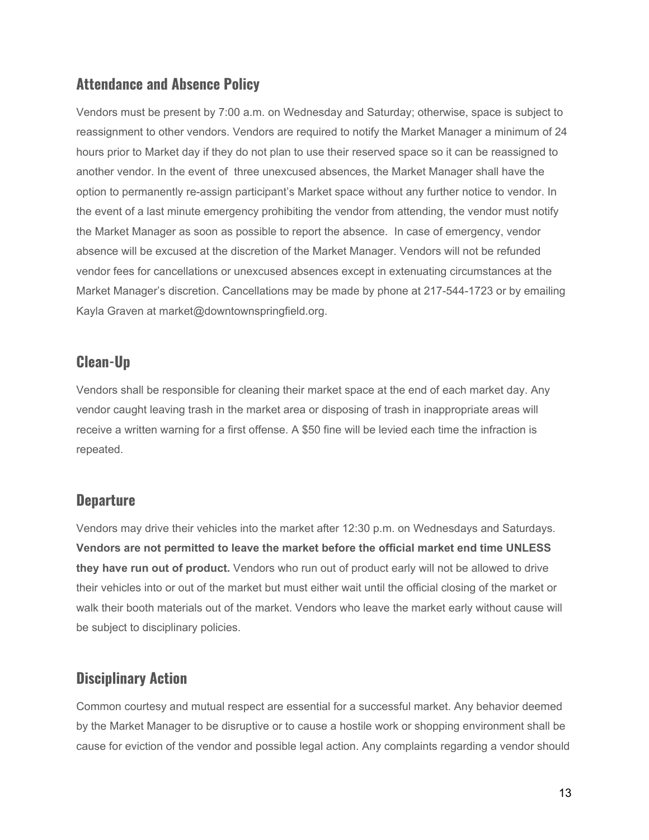#### **Attendance and Absence Policy**

Vendors must be present by 7:00 a.m. on Wednesday and Saturday; otherwise, space is subject to reassignment to other vendors. Vendors are required to notify the Market Manager a minimum of 24 hours prior to Market day if they do not plan to use their reserved space so it can be reassigned to another vendor. In the event of three unexcused absences, the Market Manager shall have the option to permanently re-assign participant's Market space without any further notice to vendor. In the event of a last minute emergency prohibiting the vendor from attending, the vendor must notify the Market Manager as soon as possible to report the absence. In case of emergency, vendor absence will be excused at the discretion of the Market Manager. Vendors will not be refunded vendor fees for cancellations or unexcused absences except in extenuating circumstances at the Market Manager's discretion. Cancellations may be made by phone at 217-544-1723 or by emailing Kayla Graven at market@downtownspringfield.org.

#### **Clean-Up**

Vendors shall be responsible for cleaning their market space at the end of each market day. Any vendor caught leaving trash in the market area or disposing of trash in inappropriate areas will receive a written warning for a first offense. A \$50 fine will be levied each time the infraction is repeated.

# **Departure**

Vendors may drive their vehicles into the market after 12:30 p.m. on Wednesdays and Saturdays. **Vendors are not permitted to leave the market before the official market end time UNLESS they have run out of product.** Vendors who run out of product early will not be allowed to drive their vehicles into or out of the market but must either wait until the official closing of the market or walk their booth materials out of the market. Vendors who leave the market early without cause will be subject to disciplinary policies.

# **Disciplinary Action**

Common courtesy and mutual respect are essential for a successful market. Any behavior deemed by the Market Manager to be disruptive or to cause a hostile work or shopping environment shall be cause for eviction of the vendor and possible legal action. Any complaints regarding a vendor should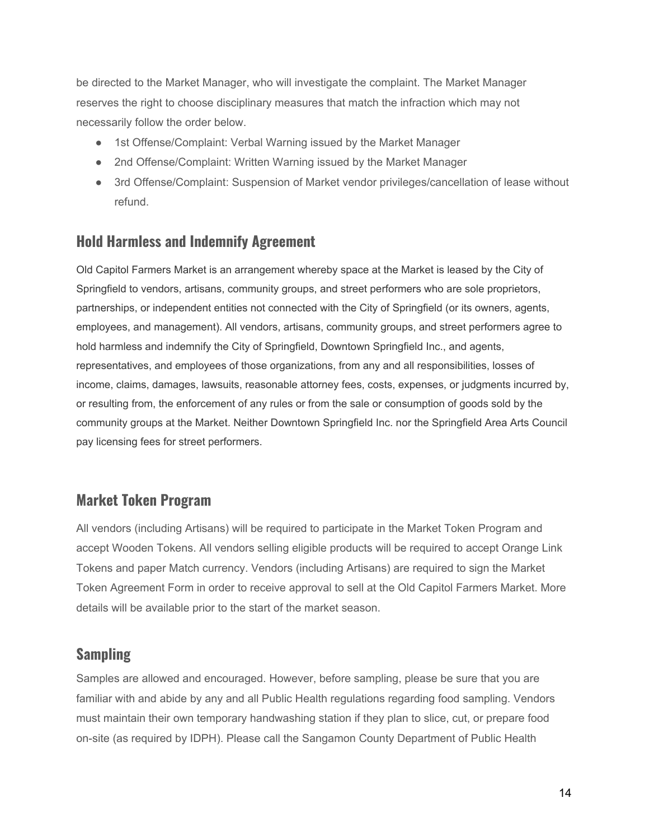be directed to the Market Manager, who will investigate the complaint. The Market Manager reserves the right to choose disciplinary measures that match the infraction which may not necessarily follow the order below.

- 1st Offense/Complaint: Verbal Warning issued by the Market Manager
- 2nd Offense/Complaint: Written Warning issued by the Market Manager
- 3rd Offense/Complaint: Suspension of Market vendor privileges/cancellation of lease without refund.

#### **Hold Harmless and Indemnify Agreement**

Old Capitol Farmers Market is an arrangement whereby space at the Market is leased by the City of Springfield to vendors, artisans, community groups, and street performers who are sole proprietors, partnerships, or independent entities not connected with the City of Springfield (or its owners, agents, employees, and management). All vendors, artisans, community groups, and street performers agree to hold harmless and indemnify the City of Springfield, Downtown Springfield Inc., and agents, representatives, and employees of those organizations, from any and all responsibilities, losses of income, claims, damages, lawsuits, reasonable attorney fees, costs, expenses, or judgments incurred by, or resulting from, the enforcement of any rules or from the sale or consumption of goods sold by the community groups at the Market. Neither Downtown Springfield Inc. nor the Springfield Area Arts Council pay licensing fees for street performers.

#### **Market Token Program**

All vendors (including Artisans) will be required to participate in the Market Token Program and accept Wooden Tokens. All vendors selling eligible products will be required to accept Orange Link Tokens and paper Match currency. Vendors (including Artisans) are required to sign the Market Token Agreement Form in order to receive approval to sell at the Old Capitol Farmers Market. More details will be available prior to the start of the market season.

#### **Sampling**

Samples are allowed and encouraged. However, before sampling, please be sure that you are familiar with and abide by any and all Public Health regulations regarding food sampling. Vendors must maintain their own temporary handwashing station if they plan to slice, cut, or prepare food on-site (as required by IDPH). Please call the Sangamon County Department of Public Health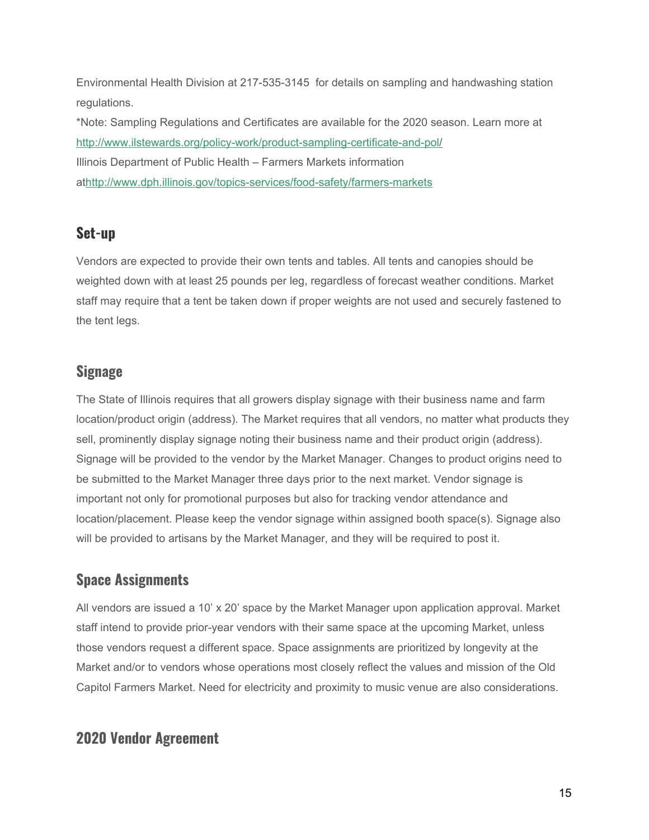Environmental Health Division at 217-535-3145 for details on sampling and handwashing station regulations.

\*Note: Sampling Regulations and Certificates are available for the 2020 season. Learn more at <http://www.ilstewards.org/policy-work/product-sampling-certificate-and-pol/> Illinois Department of Public Health – Farmers Markets information at<http://www.dph.illinois.gov/topics-services/food-safety/farmers-markets>

# **Set-up**

Vendors are expected to provide their own tents and tables. All tents and canopies should be weighted down with at least 25 pounds per leg, regardless of forecast weather conditions. Market staff may require that a tent be taken down if proper weights are not used and securely fastened to the tent legs.

#### **Signage**

The State of Illinois requires that all growers display signage with their business name and farm location/product origin (address). The Market requires that all vendors, no matter what products they sell, prominently display signage noting their business name and their product origin (address). Signage will be provided to the vendor by the Market Manager. Changes to product origins need to be submitted to the Market Manager three days prior to the next market. Vendor signage is important not only for promotional purposes but also for tracking vendor attendance and location/placement. Please keep the vendor signage within assigned booth space(s). Signage also will be provided to artisans by the Market Manager, and they will be required to post it.

# **Space Assignments**

All vendors are issued a 10' x 20' space by the Market Manager upon application approval. Market staff intend to provide prior-year vendors with their same space at the upcoming Market, unless those vendors request a different space. Space assignments are prioritized by longevity at the Market and/or to vendors whose operations most closely reflect the values and mission of the Old Capitol Farmers Market. Need for electricity and proximity to music venue are also considerations.

# **2020 Vendor Agreement**